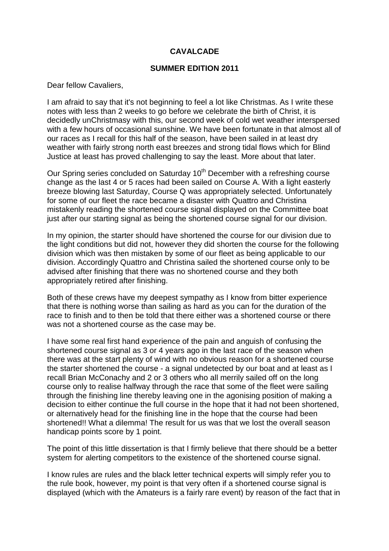# **CAVALCADE**

# **SUMMER EDITION 2011**

Dear fellow Cavaliers,

I am afraid to say that it's not beginning to feel a lot like Christmas. As I write these notes with less than 2 weeks to go before we celebrate the birth of Christ, it is decidedly unChristmasy with this, our second week of cold wet weather interspersed with a few hours of occasional sunshine. We have been fortunate in that almost all of our races as I recall for this half of the season, have been sailed in at least dry weather with fairly strong north east breezes and strong tidal flows which for Blind Justice at least has proved challenging to say the least. More about that later.

Our Spring series concluded on Saturday 10<sup>th</sup> December with a refreshing course change as the last 4 or 5 races had been sailed on Course A. With a light easterly breeze blowing last Saturday, Course Q was appropriately selected. Unfortunately for some of our fleet the race became a disaster with Quattro and Christina mistakenly reading the shortened course signal displayed on the Committee boat just after our starting signal as being the shortened course signal for our division.

In my opinion, the starter should have shortened the course for our division due to the light conditions but did not, however they did shorten the course for the following division which was then mistaken by some of our fleet as being applicable to our division. Accordingly Quattro and Christina sailed the shortened course only to be advised after finishing that there was no shortened course and they both appropriately retired after finishing.

Both of these crews have my deepest sympathy as I know from bitter experience that there is nothing worse than sailing as hard as you can for the duration of the race to finish and to then be told that there either was a shortened course or there was not a shortened course as the case may be.

I have some real first hand experience of the pain and anguish of confusing the shortened course signal as 3 or 4 years ago in the last race of the season when there was at the start plenty of wind with no obvious reason for a shortened course the starter shortened the course - a signal undetected by our boat and at least as I recall Brian McConachy and 2 or 3 others who all merrily sailed off on the long course only to realise halfway through the race that some of the fleet were sailing through the finishing line thereby leaving one in the agonising position of making a decision to either continue the full course in the hope that it had not been shortened, or alternatively head for the finishing line in the hope that the course had been shortened!! What a dilemma! The result for us was that we lost the overall season handicap points score by 1 point.

The point of this little dissertation is that I firmly believe that there should be a better system for alerting competitors to the existence of the shortened course signal.

I know rules are rules and the black letter technical experts will simply refer you to the rule book, however, my point is that very often if a shortened course signal is displayed (which with the Amateurs is a fairly rare event) by reason of the fact that in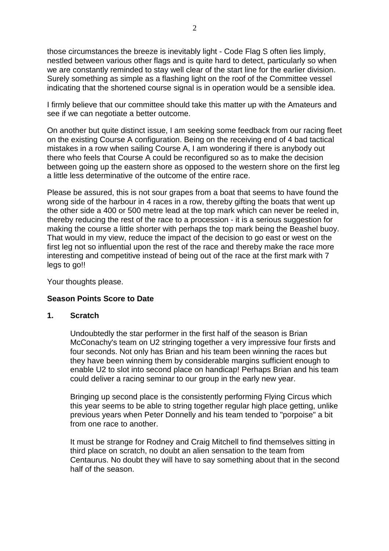those circumstances the breeze is inevitably light - Code Flag S often lies limply, nestled between various other flags and is quite hard to detect, particularly so when we are constantly reminded to stay well clear of the start line for the earlier division. Surely something as simple as a flashing light on the roof of the Committee vessel indicating that the shortened course signal is in operation would be a sensible idea.

I firmly believe that our committee should take this matter up with the Amateurs and see if we can negotiate a better outcome.

On another but quite distinct issue, I am seeking some feedback from our racing fleet on the existing Course A configuration. Being on the receiving end of 4 bad tactical mistakes in a row when sailing Course A, I am wondering if there is anybody out there who feels that Course A could be reconfigured so as to make the decision between going up the eastern shore as opposed to the western shore on the first leg a little less determinative of the outcome of the entire race.

Please be assured, this is not sour grapes from a boat that seems to have found the wrong side of the harbour in 4 races in a row, thereby gifting the boats that went up the other side a 400 or 500 metre lead at the top mark which can never be reeled in, thereby reducing the rest of the race to a procession - it is a serious suggestion for making the course a little shorter with perhaps the top mark being the Beashel buoy. That would in my view, reduce the impact of the decision to go east or west on the first leg not so influential upon the rest of the race and thereby make the race more interesting and competitive instead of being out of the race at the first mark with 7 legs to go!!

Your thoughts please.

# **Season Points Score to Date**

#### **1. Scratch**

Undoubtedly the star performer in the first half of the season is Brian McConachy's team on U2 stringing together a very impressive four firsts and four seconds. Not only has Brian and his team been winning the races but they have been winning them by considerable margins sufficient enough to enable U2 to slot into second place on handicap! Perhaps Brian and his team could deliver a racing seminar to our group in the early new year.

Bringing up second place is the consistently performing Flying Circus which this year seems to be able to string together regular high place getting, unlike previous years when Peter Donnelly and his team tended to "porpoise" a bit from one race to another.

It must be strange for Rodney and Craig Mitchell to find themselves sitting in third place on scratch, no doubt an alien sensation to the team from Centaurus. No doubt they will have to say something about that in the second half of the season.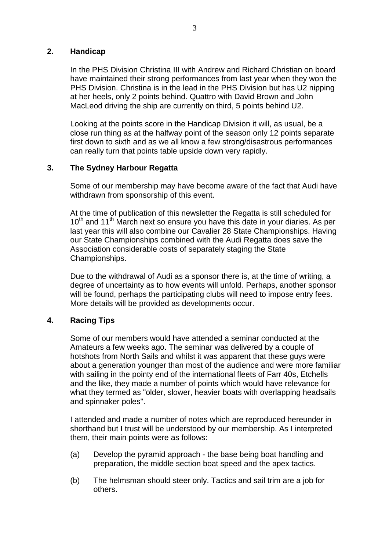# **2. Handicap**

In the PHS Division Christina III with Andrew and Richard Christian on board have maintained their strong performances from last year when they won the PHS Division. Christina is in the lead in the PHS Division but has U2 nipping at her heels, only 2 points behind. Quattro with David Brown and John MacLeod driving the ship are currently on third, 5 points behind U2.

Looking at the points score in the Handicap Division it will, as usual, be a close run thing as at the halfway point of the season only 12 points separate first down to sixth and as we all know a few strong/disastrous performances can really turn that points table upside down very rapidly.

# **3. The Sydney Harbour Regatta**

Some of our membership may have become aware of the fact that Audi have withdrawn from sponsorship of this event.

At the time of publication of this newsletter the Regatta is still scheduled for  $10<sup>th</sup>$  and 11<sup>th</sup> March next so ensure you have this date in your diaries. As per last year this will also combine our Cavalier 28 State Championships. Having our State Championships combined with the Audi Regatta does save the Association considerable costs of separately staging the State Championships.

Due to the withdrawal of Audi as a sponsor there is, at the time of writing, a degree of uncertainty as to how events will unfold. Perhaps, another sponsor will be found, perhaps the participating clubs will need to impose entry fees. More details will be provided as developments occur.

# **4. Racing Tips**

Some of our members would have attended a seminar conducted at the Amateurs a few weeks ago. The seminar was delivered by a couple of hotshots from North Sails and whilst it was apparent that these guys were about a generation younger than most of the audience and were more familiar with sailing in the pointy end of the international fleets of Farr 40s, Etchells and the like, they made a number of points which would have relevance for what they termed as "older, slower, heavier boats with overlapping headsails and spinnaker poles".

I attended and made a number of notes which are reproduced hereunder in shorthand but I trust will be understood by our membership. As I interpreted them, their main points were as follows:

- (a) Develop the pyramid approach the base being boat handling and preparation, the middle section boat speed and the apex tactics.
- (b) The helmsman should steer only. Tactics and sail trim are a job for others.